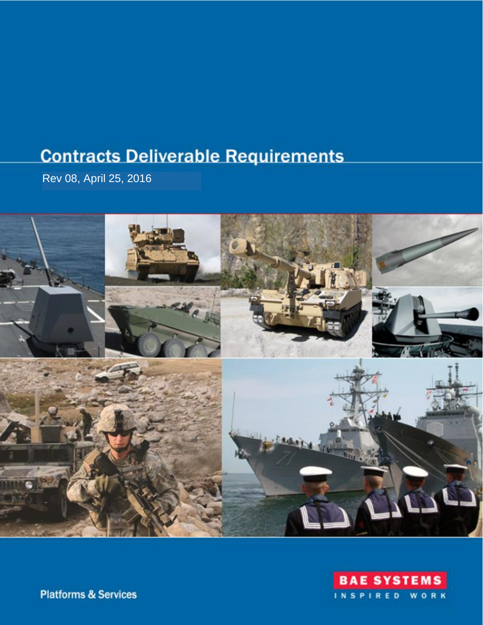# **Contracts Deliverable Requirements**

Rev 08, April 25, 2016





**Platforms & Services**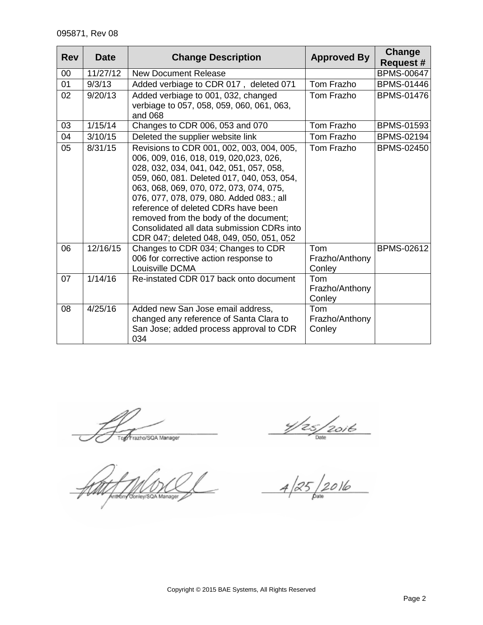| <b>Rev</b> | <b>Date</b> | <b>Change Description</b>                                                                                                                                                                                                                                                                                                                                                                                                                      | <b>Approved By</b>              | Change<br><b>Request #</b> |
|------------|-------------|------------------------------------------------------------------------------------------------------------------------------------------------------------------------------------------------------------------------------------------------------------------------------------------------------------------------------------------------------------------------------------------------------------------------------------------------|---------------------------------|----------------------------|
| 00         | 11/27/12    | <b>New Document Release</b>                                                                                                                                                                                                                                                                                                                                                                                                                    |                                 | <b>BPMS-00647</b>          |
| 01         | 9/3/13      | Added verbiage to CDR 017, deleted 071                                                                                                                                                                                                                                                                                                                                                                                                         | Tom Frazho                      | <b>BPMS-01446</b>          |
| 02         | 9/20/13     | Added verbiage to 001, 032, changed<br>verbiage to 057, 058, 059, 060, 061, 063,<br>and 068                                                                                                                                                                                                                                                                                                                                                    | Tom Frazho                      | <b>BPMS-01476</b>          |
| 03         | 1/15/14     | Changes to CDR 006, 053 and 070                                                                                                                                                                                                                                                                                                                                                                                                                | Tom Frazho                      | <b>BPMS-01593</b>          |
| 04         | 3/10/15     | Deleted the supplier website link                                                                                                                                                                                                                                                                                                                                                                                                              | Tom Frazho                      | <b>BPMS-02194</b>          |
| 05         | 8/31/15     | Revisions to CDR 001, 002, 003, 004, 005,<br>006, 009, 016, 018, 019, 020,023, 026,<br>028, 032, 034, 041, 042, 051, 057, 058,<br>059, 060, 081. Deleted 017, 040, 053, 054,<br>063, 068, 069, 070, 072, 073, 074, 075,<br>076, 077, 078, 079, 080. Added 083.; all<br>reference of deleted CDRs have been<br>removed from the body of the document;<br>Consolidated all data submission CDRs into<br>CDR 047; deleted 048, 049, 050, 051, 052 | Tom Frazho                      | <b>BPMS-02450</b>          |
| 06         | 12/16/15    | Changes to CDR 034; Changes to CDR<br>006 for corrective action response to<br>Louisville DCMA                                                                                                                                                                                                                                                                                                                                                 | Tom<br>Frazho/Anthony<br>Conley | <b>BPMS-02612</b>          |
| 07         | 1/14/16     | Re-instated CDR 017 back onto document                                                                                                                                                                                                                                                                                                                                                                                                         | Tom<br>Frazho/Anthony<br>Conley |                            |
| 08         | 4/25/16     | Added new San Jose email address,<br>changed any reference of Santa Clara to<br>San Jose; added process approval to CDR<br>034                                                                                                                                                                                                                                                                                                                 | Tom<br>Frazho/Anthony<br>Conley |                            |

Top Frazho/SQA Manager

 $\frac{4}{25}$  2016<br> $\frac{4}{25}$  2016

Anthony Conley/SQA Manager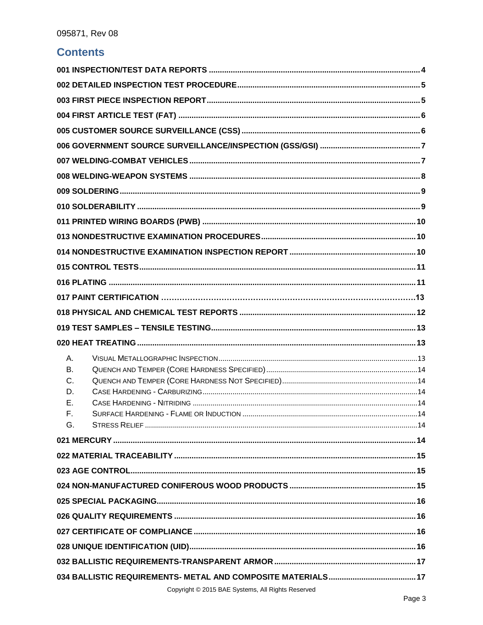### **Contents**

| А.       |                                                 |  |
|----------|-------------------------------------------------|--|
| В.       |                                                 |  |
| C.       |                                                 |  |
| D.       |                                                 |  |
| Е.<br>F. |                                                 |  |
| G.       |                                                 |  |
|          |                                                 |  |
|          |                                                 |  |
|          |                                                 |  |
|          |                                                 |  |
|          |                                                 |  |
|          |                                                 |  |
|          |                                                 |  |
|          |                                                 |  |
|          |                                                 |  |
|          |                                                 |  |
|          | Convight @ 2015 RAE Systems All Pights Posenred |  |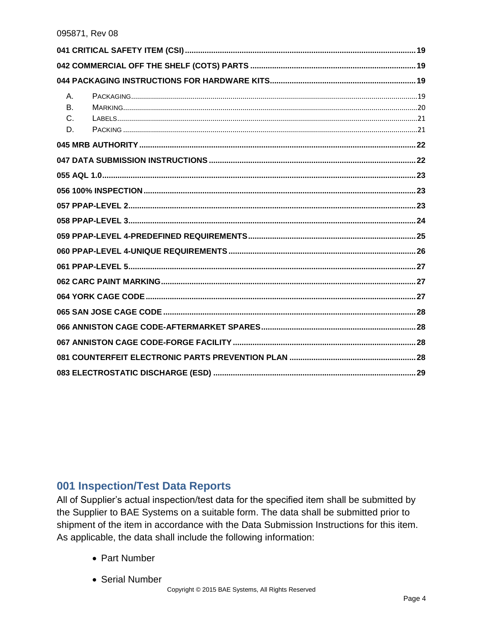| $A_{1}$<br><b>B.</b> |  |
|----------------------|--|
| C.<br>D.             |  |
|                      |  |
|                      |  |
|                      |  |
|                      |  |
|                      |  |
|                      |  |
|                      |  |
|                      |  |
|                      |  |
|                      |  |
|                      |  |
|                      |  |
|                      |  |
|                      |  |
|                      |  |
|                      |  |

### <span id="page-3-0"></span>001 Inspection/Test Data Reports

All of Supplier's actual inspection/test data for the specified item shall be submitted by the Supplier to BAE Systems on a suitable form. The data shall be submitted prior to shipment of the item in accordance with the Data Submission Instructions for this item. As applicable, the data shall include the following information:

- Part Number
- Serial Number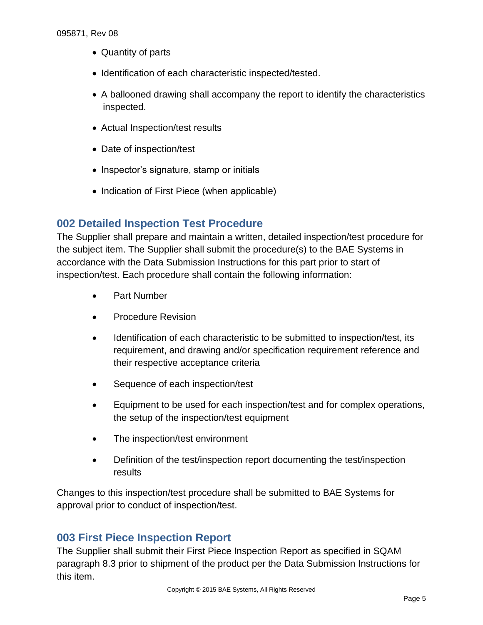- Quantity of parts
- Identification of each characteristic inspected/tested.
- A ballooned drawing shall accompany the report to identify the characteristics inspected.
- Actual Inspection/test results
- Date of inspection/test
- Inspector's signature, stamp or initials
- Indication of First Piece (when applicable)

### <span id="page-4-0"></span>**002 Detailed Inspection Test Procedure**

The Supplier shall prepare and maintain a written, detailed inspection/test procedure for the subject item. The Supplier shall submit the procedure(s) to the BAE Systems in accordance with the Data Submission Instructions for this part prior to start of inspection/test. Each procedure shall contain the following information:

- Part Number
- Procedure Revision
- Identification of each characteristic to be submitted to inspection/test, its requirement, and drawing and/or specification requirement reference and their respective acceptance criteria
- Sequence of each inspection/test
- Equipment to be used for each inspection/test and for complex operations, the setup of the inspection/test equipment
- The inspection/test environment
- Definition of the test/inspection report documenting the test/inspection results

Changes to this inspection/test procedure shall be submitted to BAE Systems for approval prior to conduct of inspection/test.

### <span id="page-4-1"></span>**003 First Piece Inspection Report**

The Supplier shall submit their First Piece Inspection Report as specified in SQAM paragraph 8.3 prior to shipment of the product per the Data Submission Instructions for this item.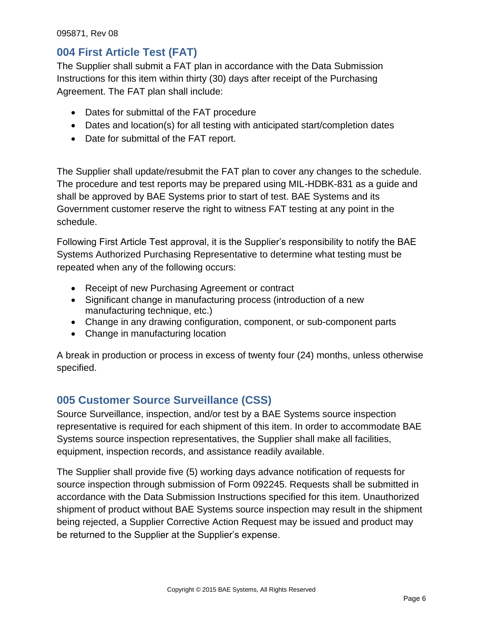### <span id="page-5-0"></span>**004 First Article Test (FAT)**

The Supplier shall submit a FAT plan in accordance with the Data Submission Instructions for this item within thirty (30) days after receipt of the Purchasing Agreement. The FAT plan shall include:

- Dates for submittal of the FAT procedure
- Dates and location(s) for all testing with anticipated start/completion dates
- Date for submittal of the FAT report.

The Supplier shall update/resubmit the FAT plan to cover any changes to the schedule. The procedure and test reports may be prepared using MIL-HDBK-831 as a guide and shall be approved by BAE Systems prior to start of test. BAE Systems and its Government customer reserve the right to witness FAT testing at any point in the schedule.

Following First Article Test approval, it is the Supplier's responsibility to notify the BAE Systems Authorized Purchasing Representative to determine what testing must be repeated when any of the following occurs:

- Receipt of new Purchasing Agreement or contract
- Significant change in manufacturing process (introduction of a new manufacturing technique, etc.)
- Change in any drawing configuration, component, or sub-component parts
- Change in manufacturing location

A break in production or process in excess of twenty four (24) months, unless otherwise specified.

# <span id="page-5-1"></span>**005 Customer Source Surveillance (CSS)**

Source Surveillance, inspection, and/or test by a BAE Systems source inspection representative is required for each shipment of this item. In order to accommodate BAE Systems source inspection representatives, the Supplier shall make all facilities, equipment, inspection records, and assistance readily available.

The Supplier shall provide five (5) working days advance notification of requests for source inspection through submission of Form 092245. Requests shall be submitted in accordance with the Data Submission Instructions specified for this item. Unauthorized shipment of product without BAE Systems source inspection may result in the shipment being rejected, a Supplier Corrective Action Request may be issued and product may be returned to the Supplier at the Supplier's expense.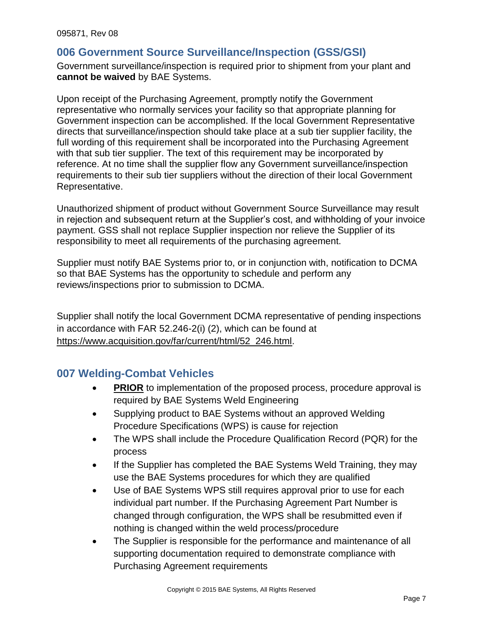### <span id="page-6-0"></span>**006 Government Source Surveillance/Inspection (GSS/GSI)**

<span id="page-6-1"></span>Government surveillance/inspection is required prior to shipment from your plant and **cannot be waived** by BAE Systems.

Upon receipt of the Purchasing Agreement, promptly notify the Government representative who normally services your facility so that appropriate planning for Government inspection can be accomplished. If the local Government Representative directs that surveillance/inspection should take place at a sub tier supplier facility, the full wording of this requirement shall be incorporated into the Purchasing Agreement with that sub tier supplier. The text of this requirement may be incorporated by reference. At no time shall the supplier flow any Government surveillance/inspection requirements to their sub tier suppliers without the direction of their local Government Representative.

Unauthorized shipment of product without Government Source Surveillance may result in rejection and subsequent return at the Supplier's cost, and withholding of your invoice payment. GSS shall not replace Supplier inspection nor relieve the Supplier of its responsibility to meet all requirements of the purchasing agreement.

Supplier must notify BAE Systems prior to, or in conjunction with, notification to DCMA so that BAE Systems has the opportunity to schedule and perform any reviews/inspections prior to submission to DCMA.

Supplier shall notify the local Government DCMA representative of pending inspections in accordance with FAR 52.246-2(i) (2), which can be found at https://www.acquisition.gov/far/current/html/52\_246.html.

### **007 Welding-Combat Vehicles**

- **PRIOR** to implementation of the proposed process, procedure approval is required by BAE Systems Weld Engineering
- Supplying product to BAE Systems without an approved Welding Procedure Specifications (WPS) is cause for rejection
- The WPS shall include the Procedure Qualification Record (PQR) for the process
- If the Supplier has completed the BAE Systems Weld Training, they may use the BAE Systems procedures for which they are qualified
- Use of BAE Systems WPS still requires approval prior to use for each individual part number. If the Purchasing Agreement Part Number is changed through configuration, the WPS shall be resubmitted even if nothing is changed within the weld process/procedure
- The Supplier is responsible for the performance and maintenance of all supporting documentation required to demonstrate compliance with Purchasing Agreement requirements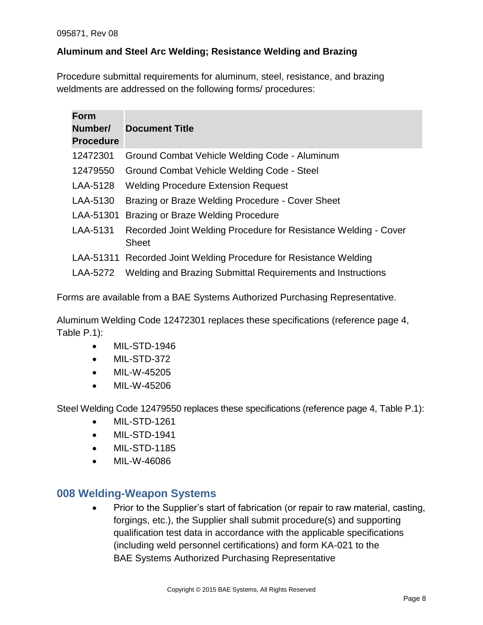#### **Aluminum and Steel Arc Welding; Resistance Welding and Brazing**

Procedure submittal requirements for aluminum, steel, resistance, and brazing weldments are addressed on the following forms/ procedures:

| <b>Form</b><br>Number/<br><b>Procedure</b> | <b>Document Title</b>                                                           |
|--------------------------------------------|---------------------------------------------------------------------------------|
| 12472301                                   | Ground Combat Vehicle Welding Code - Aluminum                                   |
| 12479550                                   | Ground Combat Vehicle Welding Code - Steel                                      |
| LAA-5128                                   | <b>Welding Procedure Extension Request</b>                                      |
| LAA-5130                                   | Brazing or Braze Welding Procedure - Cover Sheet                                |
| LAA-51301                                  | Brazing or Braze Welding Procedure                                              |
| LAA-5131                                   | Recorded Joint Welding Procedure for Resistance Welding - Cover<br><b>Sheet</b> |
|                                            | LAA-51311 Recorded Joint Welding Procedure for Resistance Welding               |
| LAA-5272                                   | Welding and Brazing Submittal Requirements and Instructions                     |

Forms are available from a BAE Systems Authorized Purchasing Representative.

Aluminum Welding Code 12472301 replaces these specifications (reference page 4, Table P.1):

- MIL-STD-1946
- MIL-STD-372
- MIL-W-45205
- MIL-W-45206

Steel Welding Code 12479550 replaces these specifications (reference page 4, Table P.1):

- MIL-STD-1261
- MIL-STD-1941
- MIL-STD-1185
- MIL-W-46086

#### <span id="page-7-0"></span>**008 Welding-Weapon Systems**

 Prior to the Supplier's start of fabrication (or repair to raw material, casting, forgings, etc.), the Supplier shall submit procedure(s) and supporting qualification test data in accordance with the applicable specifications (including weld personnel certifications) and form KA-021 to the BAE Systems Authorized Purchasing Representative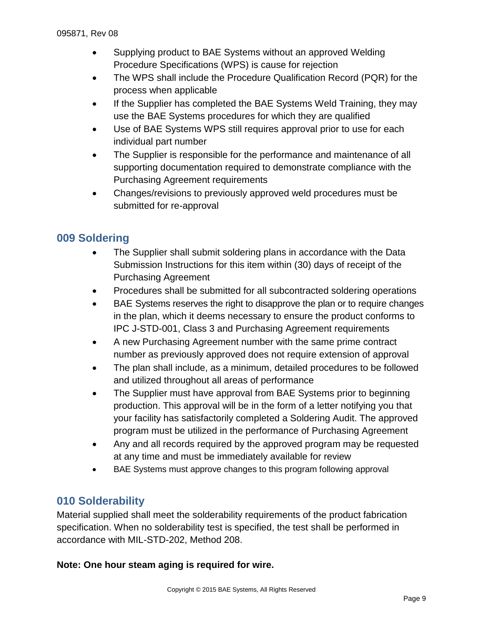- Supplying product to BAE Systems without an approved Welding Procedure Specifications (WPS) is cause for rejection
- The WPS shall include the Procedure Qualification Record (PQR) for the process when applicable
- If the Supplier has completed the BAE Systems Weld Training, they may use the BAE Systems procedures for which they are qualified
- Use of BAE Systems WPS still requires approval prior to use for each individual part number
- The Supplier is responsible for the performance and maintenance of all supporting documentation required to demonstrate compliance with the Purchasing Agreement requirements
- Changes/revisions to previously approved weld procedures must be submitted for re-approval

# <span id="page-8-0"></span>**009 Soldering**

- The Supplier shall submit soldering plans in accordance with the Data Submission Instructions for this item within (30) days of receipt of the Purchasing Agreement
- Procedures shall be submitted for all subcontracted soldering operations
- BAE Systems reserves the right to disapprove the plan or to require changes in the plan, which it deems necessary to ensure the product conforms to IPC J-STD-001, Class 3 and Purchasing Agreement requirements
- A new Purchasing Agreement number with the same prime contract number as previously approved does not require extension of approval
- The plan shall include, as a minimum, detailed procedures to be followed and utilized throughout all areas of performance
- The Supplier must have approval from BAE Systems prior to beginning production. This approval will be in the form of a letter notifying you that your facility has satisfactorily completed a Soldering Audit. The approved program must be utilized in the performance of Purchasing Agreement
- Any and all records required by the approved program may be requested at any time and must be immediately available for review
- BAE Systems must approve changes to this program following approval

### <span id="page-8-1"></span>**010 Solderability**

Material supplied shall meet the solderability requirements of the product fabrication specification. When no solderability test is specified, the test shall be performed in accordance with MIL-STD-202, Method 208.

#### **Note: One hour steam aging is required for wire.**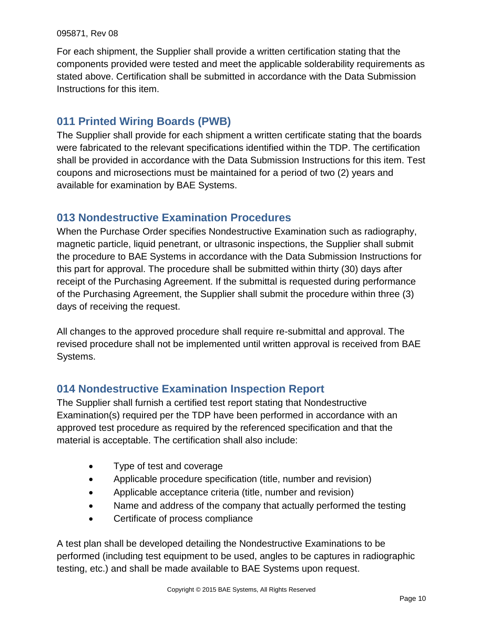For each shipment, the Supplier shall provide a written certification stating that the components provided were tested and meet the applicable solderability requirements as stated above. Certification shall be submitted in accordance with the Data Submission Instructions for this item.

### <span id="page-9-0"></span>**011 Printed Wiring Boards (PWB)**

The Supplier shall provide for each shipment a written certificate stating that the boards were fabricated to the relevant specifications identified within the TDP. The certification shall be provided in accordance with the Data Submission Instructions for this item. Test coupons and microsections must be maintained for a period of two (2) years and available for examination by BAE Systems.

### <span id="page-9-1"></span>**013 Nondestructive Examination Procedures**

When the Purchase Order specifies Nondestructive Examination such as radiography, magnetic particle, liquid penetrant, or ultrasonic inspections, the Supplier shall submit the procedure to BAE Systems in accordance with the Data Submission Instructions for this part for approval. The procedure shall be submitted within thirty (30) days after receipt of the Purchasing Agreement. If the submittal is requested during performance of the Purchasing Agreement, the Supplier shall submit the procedure within three (3) days of receiving the request.

All changes to the approved procedure shall require re-submittal and approval. The revised procedure shall not be implemented until written approval is received from BAE Systems.

### <span id="page-9-2"></span>**014 Nondestructive Examination Inspection Report**

The Supplier shall furnish a certified test report stating that Nondestructive Examination(s) required per the TDP have been performed in accordance with an approved test procedure as required by the referenced specification and that the material is acceptable. The certification shall also include:

- Type of test and coverage
- Applicable procedure specification (title, number and revision)
- Applicable acceptance criteria (title, number and revision)
- Name and address of the company that actually performed the testing
- Certificate of process compliance

A test plan shall be developed detailing the Nondestructive Examinations to be performed (including test equipment to be used, angles to be captures in radiographic testing, etc.) and shall be made available to BAE Systems upon request.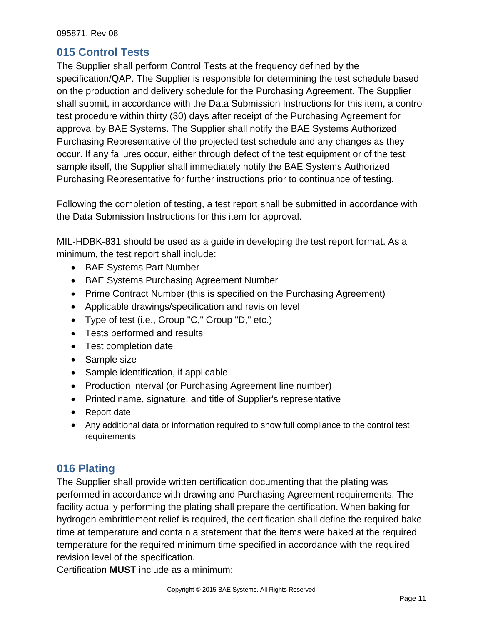### <span id="page-10-0"></span>**015 Control Tests**

The Supplier shall perform Control Tests at the frequency defined by the specification/QAP. The Supplier is responsible for determining the test schedule based on the production and delivery schedule for the Purchasing Agreement. The Supplier shall submit, in accordance with the Data Submission Instructions for this item, a control test procedure within thirty (30) days after receipt of the Purchasing Agreement for approval by BAE Systems. The Supplier shall notify the BAE Systems Authorized Purchasing Representative of the projected test schedule and any changes as they occur. If any failures occur, either through defect of the test equipment or of the test sample itself, the Supplier shall immediately notify the BAE Systems Authorized Purchasing Representative for further instructions prior to continuance of testing.

Following the completion of testing, a test report shall be submitted in accordance with the Data Submission Instructions for this item for approval.

MIL-HDBK-831 should be used as a guide in developing the test report format. As a minimum, the test report shall include:

- BAE Systems Part Number
- BAE Systems Purchasing Agreement Number
- Prime Contract Number (this is specified on the Purchasing Agreement)
- Applicable drawings/specification and revision level
- Type of test (i.e., Group "C," Group "D," etc.)
- Tests performed and results
- Test completion date
- Sample size
- Sample identification, if applicable
- Production interval (or Purchasing Agreement line number)
- Printed name, signature, and title of Supplier's representative
- Report date
- Any additional data or information required to show full compliance to the control test requirements

# <span id="page-10-1"></span>**016 Plating**

The Supplier shall provide written certification documenting that the plating was performed in accordance with drawing and Purchasing Agreement requirements. The facility actually performing the plating shall prepare the certification. When baking for hydrogen embrittlement relief is required, the certification shall define the required bake time at temperature and contain a statement that the items were baked at the required temperature for the required minimum time specified in accordance with the required revision level of the specification.

Certification **MUST** include as a minimum: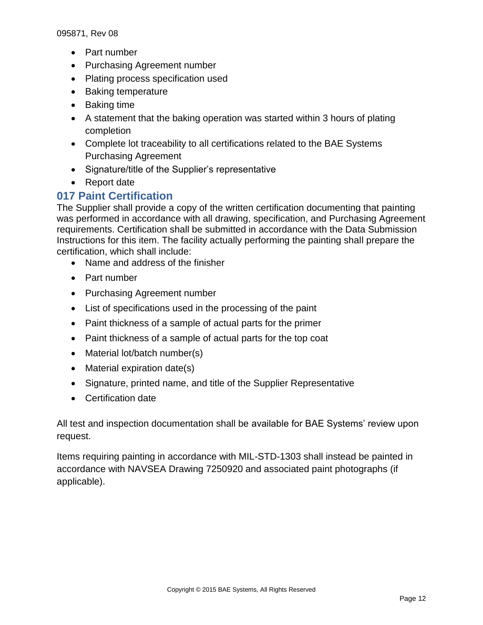- Part number
- Purchasing Agreement number
- Plating process specification used
- Baking temperature
- Baking time
- A statement that the baking operation was started within 3 hours of plating completion
- Complete lot traceability to all certifications related to the BAE Systems Purchasing Agreement
- Signature/title of the Supplier's representative
- Report date

### <span id="page-11-0"></span>**017 Paint Certification**

The Supplier shall provide a copy of the written certification documenting that painting was performed in accordance with all drawing, specification, and Purchasing Agreement requirements. Certification shall be submitted in accordance with the Data Submission Instructions for this item. The facility actually performing the painting shall prepare the certification, which shall include:

- Name and address of the finisher
- Part number
- Purchasing Agreement number
- List of specifications used in the processing of the paint
- Paint thickness of a sample of actual parts for the primer
- Paint thickness of a sample of actual parts for the top coat
- Material lot/batch number(s)
- Material expiration date(s)
- Signature, printed name, and title of the Supplier Representative
- Certification date

All test and inspection documentation shall be available for BAE Systems' review upon request.

Items requiring painting in accordance with MIL-STD-1303 shall instead be painted in accordance with NAVSEA Drawing 7250920 and associated paint photographs (if applicable).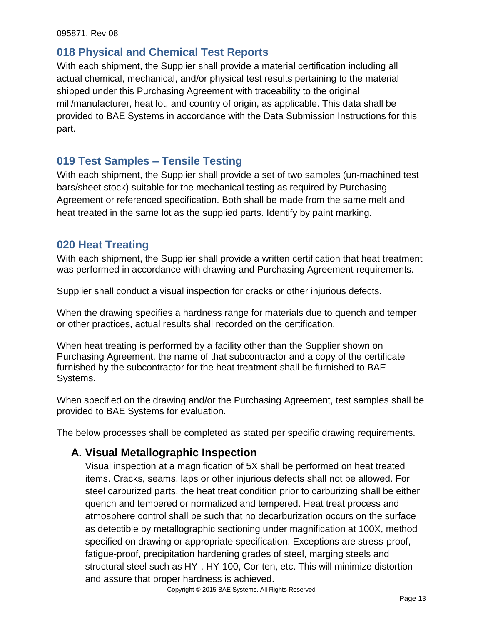### **018 Physical and Chemical Test Reports**

With each shipment, the Supplier shall provide a material certification including all actual chemical, mechanical, and/or physical test results pertaining to the material shipped under this Purchasing Agreement with traceability to the original mill/manufacturer, heat lot, and country of origin, as applicable. This data shall be provided to BAE Systems in accordance with the Data Submission Instructions for this part.

### <span id="page-12-0"></span>**019 Test Samples – Tensile Testing**

With each shipment, the Supplier shall provide a set of two samples (un-machined test bars/sheet stock) suitable for the mechanical testing as required by Purchasing Agreement or referenced specification. Both shall be made from the same melt and heat treated in the same lot as the supplied parts. Identify by paint marking.

### <span id="page-12-1"></span>**020 Heat Treating**

With each shipment, the Supplier shall provide a written certification that heat treatment was performed in accordance with drawing and Purchasing Agreement requirements.

Supplier shall conduct a visual inspection for cracks or other injurious defects.

When the drawing specifies a hardness range for materials due to quench and temper or other practices, actual results shall recorded on the certification.

When heat treating is performed by a facility other than the Supplier shown on Purchasing Agreement, the name of that subcontractor and a copy of the certificate furnished by the subcontractor for the heat treatment shall be furnished to BAE Systems.

When specified on the drawing and/or the Purchasing Agreement, test samples shall be provided to BAE Systems for evaluation.

<span id="page-12-2"></span>The below processes shall be completed as stated per specific drawing requirements.

# **A. Visual Metallographic Inspection**

Visual inspection at a magnification of 5X shall be performed on heat treated items. Cracks, seams, laps or other injurious defects shall not be allowed. For steel carburized parts, the heat treat condition prior to carburizing shall be either quench and tempered or normalized and tempered. Heat treat process and atmosphere control shall be such that no decarburization occurs on the surface as detectible by metallographic sectioning under magnification at 100X, method specified on drawing or appropriate specification. Exceptions are stress-proof, fatigue-proof, precipitation hardening grades of steel, marging steels and structural steel such as HY-, HY-100, Cor-ten, etc. This will minimize distortion and assure that proper hardness is achieved.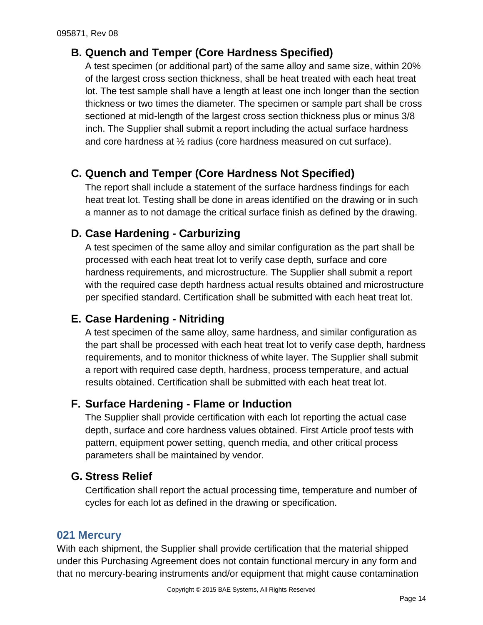# <span id="page-13-0"></span>**B. Quench and Temper (Core Hardness Specified)**

A test specimen (or additional part) of the same alloy and same size, within 20% of the largest cross section thickness, shall be heat treated with each heat treat lot. The test sample shall have a length at least one inch longer than the section thickness or two times the diameter. The specimen or sample part shall be cross sectioned at mid-length of the largest cross section thickness plus or minus 3/8 inch. The Supplier shall submit a report including the actual surface hardness and core hardness at ½ radius (core hardness measured on cut surface).

# <span id="page-13-1"></span>**C. Quench and Temper (Core Hardness Not Specified)**

The report shall include a statement of the surface hardness findings for each heat treat lot. Testing shall be done in areas identified on the drawing or in such a manner as to not damage the critical surface finish as defined by the drawing.

# <span id="page-13-2"></span>**D. Case Hardening - Carburizing**

A test specimen of the same alloy and similar configuration as the part shall be processed with each heat treat lot to verify case depth, surface and core hardness requirements, and microstructure. The Supplier shall submit a report with the required case depth hardness actual results obtained and microstructure per specified standard. Certification shall be submitted with each heat treat lot.

# <span id="page-13-3"></span>**E. Case Hardening - Nitriding**

A test specimen of the same alloy, same hardness, and similar configuration as the part shall be processed with each heat treat lot to verify case depth, hardness requirements, and to monitor thickness of white layer. The Supplier shall submit a report with required case depth, hardness, process temperature, and actual results obtained. Certification shall be submitted with each heat treat lot.

### <span id="page-13-4"></span>**F. Surface Hardening - Flame or Induction**

The Supplier shall provide certification with each lot reporting the actual case depth, surface and core hardness values obtained. First Article proof tests with pattern, equipment power setting, quench media, and other critical process parameters shall be maintained by vendor.

### <span id="page-13-5"></span>**G. Stress Relief**

Certification shall report the actual processing time, temperature and number of cycles for each lot as defined in the drawing or specification.

### <span id="page-13-6"></span>**021 Mercury**

With each shipment, the Supplier shall provide certification that the material shipped under this Purchasing Agreement does not contain functional mercury in any form and that no mercury-bearing instruments and/or equipment that might cause contamination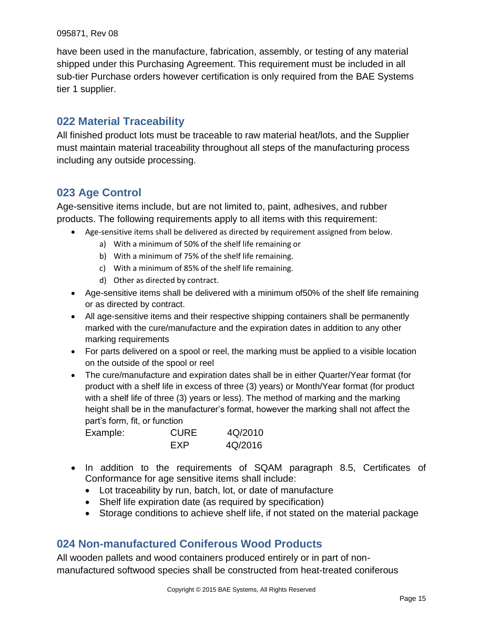have been used in the manufacture, fabrication, assembly, or testing of any material shipped under this Purchasing Agreement. This requirement must be included in all sub-tier Purchase orders however certification is only required from the BAE Systems tier 1 supplier.

### <span id="page-14-0"></span>**022 Material Traceability**

All finished product lots must be traceable to raw material heat/lots, and the Supplier must maintain material traceability throughout all steps of the manufacturing process including any outside processing.

### <span id="page-14-1"></span>**023 Age Control**

Age-sensitive items include, but are not limited to, paint, adhesives, and rubber products. The following requirements apply to all items with this requirement:

- Age-sensitive items shall be delivered as directed by requirement assigned from below.
	- a) With a minimum of 50% of the shelf life remaining or
	- b) With a minimum of 75% of the shelf life remaining.
	- c) With a minimum of 85% of the shelf life remaining.
	- d) Other as directed by contract.
- Age-sensitive items shall be delivered with a minimum of50% of the shelf life remaining or as directed by contract.
- All age-sensitive items and their respective shipping containers shall be permanently marked with the cure/manufacture and the expiration dates in addition to any other marking requirements
- For parts delivered on a spool or reel, the marking must be applied to a visible location on the outside of the spool or reel
- The cure/manufacture and expiration dates shall be in either Quarter/Year format (for product with a shelf life in excess of three (3) years) or Month/Year format (for product with a shelf life of three (3) years or less). The method of marking and the marking height shall be in the manufacturer's format, however the marking shall not affect the part's form, fit, or function

| Example: | <b>CURE</b> | 4Q/2010 |
|----------|-------------|---------|
|          | FXP         | 4Q/2016 |

- In addition to the requirements of SQAM paragraph 8.5, Certificates of Conformance for age sensitive items shall include:
	- Lot traceability by run, batch, lot, or date of manufacture
	- Shelf life expiration date (as required by specification)
	- Storage conditions to achieve shelf life, if not stated on the material package

### <span id="page-14-2"></span>**024 Non-manufactured Coniferous Wood Products**

All wooden pallets and wood containers produced entirely or in part of nonmanufactured softwood species shall be constructed from heat-treated coniferous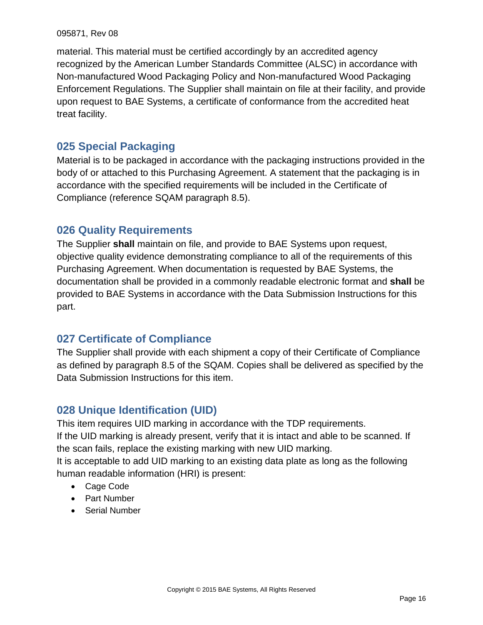material. This material must be certified accordingly by an accredited agency recognized by the American Lumber Standards Committee (ALSC) in accordance with Non-manufactured Wood Packaging Policy and Non-manufactured Wood Packaging Enforcement Regulations. The Supplier shall maintain on file at their facility, and provide upon request to BAE Systems, a certificate of conformance from the accredited heat treat facility.

### <span id="page-15-0"></span>**025 Special Packaging**

Material is to be packaged in accordance with the packaging instructions provided in the body of or attached to this Purchasing Agreement. A statement that the packaging is in accordance with the specified requirements will be included in the Certificate of Compliance (reference SQAM paragraph 8.5).

### <span id="page-15-1"></span>**026 Quality Requirements**

The Supplier **shall** maintain on file, and provide to BAE Systems upon request, objective quality evidence demonstrating compliance to all of the requirements of this Purchasing Agreement. When documentation is requested by BAE Systems, the documentation shall be provided in a commonly readable electronic format and **shall** be provided to BAE Systems in accordance with the Data Submission Instructions for this part.

### <span id="page-15-2"></span>**027 Certificate of Compliance**

The Supplier shall provide with each shipment a copy of their Certificate of Compliance as defined by paragraph 8.5 of the SQAM. Copies shall be delivered as specified by the Data Submission Instructions for this item.

# <span id="page-15-3"></span>**028 Unique Identification (UID)**

This item requires UID marking in accordance with the TDP requirements.

If the UID marking is already present, verify that it is intact and able to be scanned. If the scan fails, replace the existing marking with new UID marking.

It is acceptable to add UID marking to an existing data plate as long as the following human readable information (HRI) is present:

- Cage Code
- Part Number
- Serial Number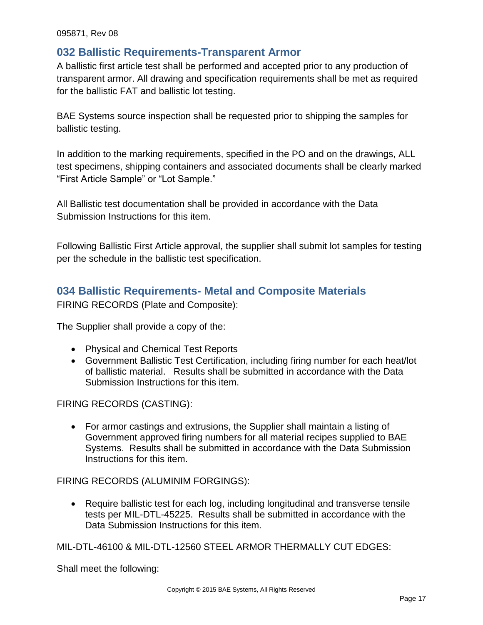#### <span id="page-16-0"></span>**032 Ballistic Requirements-Transparent Armor**

A ballistic first article test shall be performed and accepted prior to any production of transparent armor. All drawing and specification requirements shall be met as required for the ballistic FAT and ballistic lot testing.

BAE Systems source inspection shall be requested prior to shipping the samples for ballistic testing.

In addition to the marking requirements, specified in the PO and on the drawings, ALL test specimens, shipping containers and associated documents shall be clearly marked "First Article Sample" or "Lot Sample."

All Ballistic test documentation shall be provided in accordance with the Data Submission Instructions for this item.

Following Ballistic First Article approval, the supplier shall submit lot samples for testing per the schedule in the ballistic test specification.

### <span id="page-16-1"></span>**034 Ballistic Requirements- Metal and Composite Materials**

FIRING RECORDS (Plate and Composite):

The Supplier shall provide a copy of the:

- Physical and Chemical Test Reports
- Government Ballistic Test Certification, including firing number for each heat/lot of ballistic material. Results shall be submitted in accordance with the Data Submission Instructions for this item.

#### FIRING RECORDS (CASTING):

 For armor castings and extrusions, the Supplier shall maintain a listing of Government approved firing numbers for all material recipes supplied to BAE Systems. Results shall be submitted in accordance with the Data Submission Instructions for this item.

FIRING RECORDS (ALUMINIM FORGINGS):

 Require ballistic test for each log, including longitudinal and transverse tensile tests per MIL-DTL-45225. Results shall be submitted in accordance with the Data Submission Instructions for this item.

MIL-DTL-46100 & MIL-DTL-12560 STEEL ARMOR THERMALLY CUT EDGES:

Shall meet the following: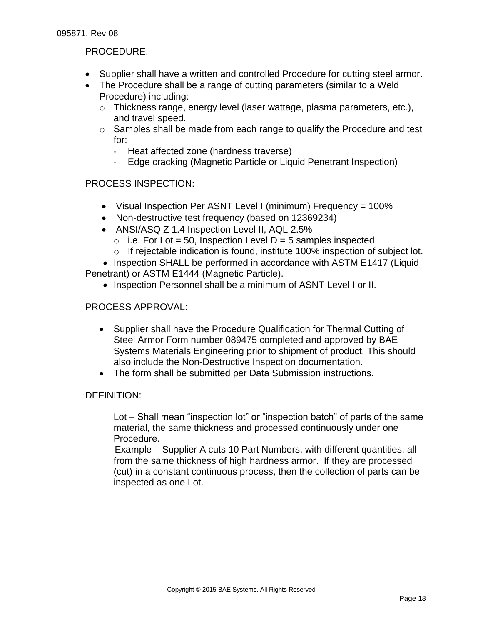#### PROCEDURE:

- Supplier shall have a written and controlled Procedure for cutting steel armor.
- The Procedure shall be a range of cutting parameters (similar to a Weld Procedure) including:
	- $\circ$  Thickness range, energy level (laser wattage, plasma parameters, etc.), and travel speed.
	- $\circ$  Samples shall be made from each range to qualify the Procedure and test for:
		- Heat affected zone (hardness traverse)
		- Edge cracking (Magnetic Particle or Liquid Penetrant Inspection)

#### PROCESS INSPECTION:

- Visual Inspection Per ASNT Level I (minimum) Frequency = 100%
- Non-destructive test frequency (based on 12369234)
- ANSI/ASQ Z 1.4 Inspection Level II, AQL 2.5%
	- $\circ$  i.e. For Lot = 50, Inspection Level D = 5 samples inspected
	- $\circ$  If rejectable indication is found, institute 100% inspection of subject lot.

• Inspection SHALL be performed in accordance with ASTM E1417 (Liquid Penetrant) or ASTM E1444 (Magnetic Particle).

• Inspection Personnel shall be a minimum of ASNT Level I or II.

#### PROCESS APPROVAL:

- Supplier shall have the Procedure Qualification for Thermal Cutting of Steel Armor Form number 089475 completed and approved by BAE Systems Materials Engineering prior to shipment of product. This should also include the Non-Destructive Inspection documentation.
- The form shall be submitted per Data Submission instructions.

#### DEFINITION:

Lot – Shall mean "inspection lot" or "inspection batch" of parts of the same material, the same thickness and processed continuously under one Procedure.

Example – Supplier A cuts 10 Part Numbers, with different quantities, all from the same thickness of high hardness armor. If they are processed (cut) in a constant continuous process, then the collection of parts can be inspected as one Lot.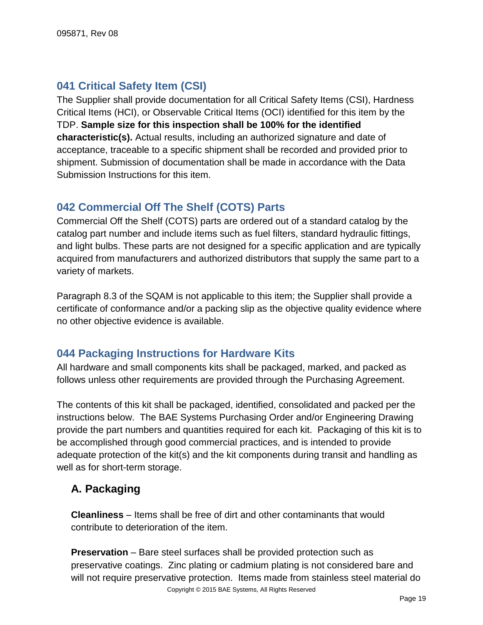# <span id="page-18-0"></span>**041 Critical Safety Item (CSI)**

The Supplier shall provide documentation for all Critical Safety Items (CSI), Hardness Critical Items (HCI), or Observable Critical Items (OCI) identified for this item by the TDP. **Sample size for this inspection shall be 100% for the identified characteristic(s).** Actual results, including an authorized signature and date of acceptance, traceable to a specific shipment shall be recorded and provided prior to shipment. Submission of documentation shall be made in accordance with the Data Submission Instructions for this item.

### <span id="page-18-1"></span>**042 Commercial Off The Shelf (COTS) Parts**

Commercial Off the Shelf (COTS) parts are ordered out of a standard catalog by the catalog part number and include items such as fuel filters, standard hydraulic fittings, and light bulbs. These parts are not designed for a specific application and are typically acquired from manufacturers and authorized distributors that supply the same part to a variety of markets.

Paragraph 8.3 of the SQAM is not applicable to this item; the Supplier shall provide a certificate of conformance and/or a packing slip as the objective quality evidence where no other objective evidence is available.

### <span id="page-18-2"></span>**044 Packaging Instructions for Hardware Kits**

All hardware and small components kits shall be packaged, marked, and packed as follows unless other requirements are provided through the Purchasing Agreement.

The contents of this kit shall be packaged, identified, consolidated and packed per the instructions below. The BAE Systems Purchasing Order and/or Engineering Drawing provide the part numbers and quantities required for each kit. Packaging of this kit is to be accomplished through good commercial practices, and is intended to provide adequate protection of the kit(s) and the kit components during transit and handling as well as for short-term storage.

### <span id="page-18-3"></span>**A. Packaging**

**Cleanliness** – Items shall be free of dirt and other contaminants that would contribute to deterioration of the item.

**Preservation** – Bare steel surfaces shall be provided protection such as preservative coatings. Zinc plating or cadmium plating is not considered bare and will not require preservative protection. Items made from stainless steel material do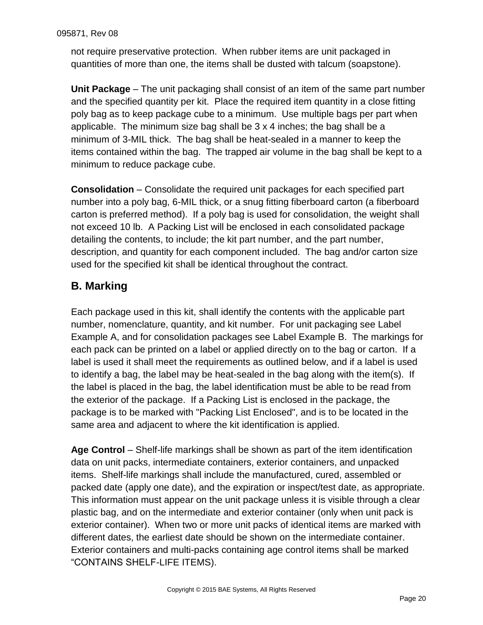not require preservative protection. When rubber items are unit packaged in quantities of more than one, the items shall be dusted with talcum (soapstone).

**Unit Package** – The unit packaging shall consist of an item of the same part number and the specified quantity per kit. Place the required item quantity in a close fitting poly bag as to keep package cube to a minimum. Use multiple bags per part when applicable. The minimum size bag shall be 3 x 4 inches; the bag shall be a minimum of 3-MIL thick. The bag shall be heat-sealed in a manner to keep the items contained within the bag. The trapped air volume in the bag shall be kept to a minimum to reduce package cube.

**Consolidation** – Consolidate the required unit packages for each specified part number into a poly bag, 6-MIL thick, or a snug fitting fiberboard carton (a fiberboard carton is preferred method). If a poly bag is used for consolidation, the weight shall not exceed 10 lb. A Packing List will be enclosed in each consolidated package detailing the contents, to include; the kit part number, and the part number, description, and quantity for each component included. The bag and/or carton size used for the specified kit shall be identical throughout the contract.

# <span id="page-19-0"></span>**B. Marking**

Each package used in this kit, shall identify the contents with the applicable part number, nomenclature, quantity, and kit number. For unit packaging see Label Example A, and for consolidation packages see Label Example B. The markings for each pack can be printed on a label or applied directly on to the bag or carton. If a label is used it shall meet the requirements as outlined below, and if a label is used to identify a bag, the label may be heat-sealed in the bag along with the item(s). If the label is placed in the bag, the label identification must be able to be read from the exterior of the package. If a Packing List is enclosed in the package, the package is to be marked with "Packing List Enclosed", and is to be located in the same area and adjacent to where the kit identification is applied.

**Age Control** – Shelf-life markings shall be shown as part of the item identification data on unit packs, intermediate containers, exterior containers, and unpacked items. Shelf-life markings shall include the manufactured, cured, assembled or packed date (apply one date), and the expiration or inspect/test date, as appropriate. This information must appear on the unit package unless it is visible through a clear plastic bag, and on the intermediate and exterior container (only when unit pack is exterior container). When two or more unit packs of identical items are marked with different dates, the earliest date should be shown on the intermediate container. Exterior containers and multi-packs containing age control items shall be marked "CONTAINS SHELF-LIFE ITEMS).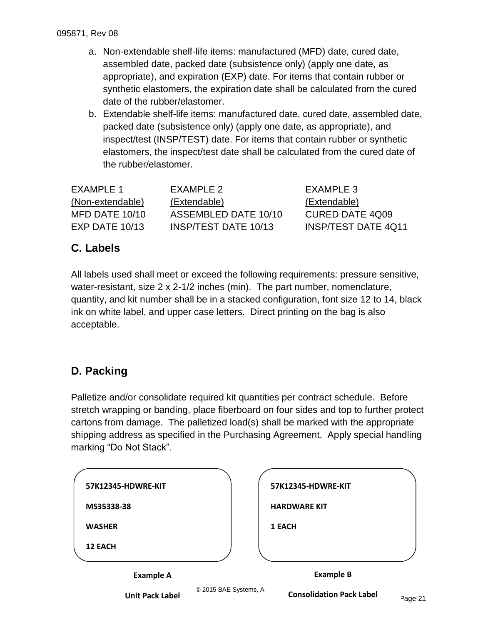- a. Non-extendable shelf-life items: manufactured (MFD) date, cured date, assembled date, packed date (subsistence only) (apply one date, as appropriate), and expiration (EXP) date. For items that contain rubber or synthetic elastomers, the expiration date shall be calculated from the cured date of the rubber/elastomer.
- b. Extendable shelf-life items: manufactured date, cured date, assembled date, packed date (subsistence only) (apply one date, as appropriate), and inspect/test (INSP/TEST) date. For items that contain rubber or synthetic elastomers, the inspect/test date shall be calculated from the cured date of the rubber/elastomer.

| FXAMPLE 1        | FXAMPLE 2            | EXAMPLE 3                  |
|------------------|----------------------|----------------------------|
| (Non-extendable) | (Extendable)         | (Extendable)               |
| MFD DATE 10/10   | ASSEMBLED DATE 10/10 | <b>CURED DATE 4Q09</b>     |
| $EXP$ DATE 10/13 | INSP/TEST DATE 10/13 | <b>INSP/TEST DATE 4Q11</b> |

# <span id="page-20-0"></span>**C. Labels**

All labels used shall meet or exceed the following requirements: pressure sensitive, water-resistant, size 2 x 2-1/2 inches (min). The part number, nomenclature, quantity, and kit number shall be in a stacked configuration, font size 12 to 14, black ink on white label, and upper case letters. Direct printing on the bag is also acceptable.

# <span id="page-20-1"></span>**D. Packing**

Palletize and/or consolidate required kit quantities per contract schedule. Before stretch wrapping or banding, place fiberboard on four sides and top to further protect cartons from damage. The palletized load(s) shall be marked with the appropriate shipping address as specified in the Purchasing Agreement. Apply special handling marking "Do Not Stack".

| 1 EACH              |
|---------------------|
| <b>HARDWARE KIT</b> |
| 57K12345-HDWRE-KIT  |
|                     |

**Unit Pack Label**

© 2015 BAE Systems, A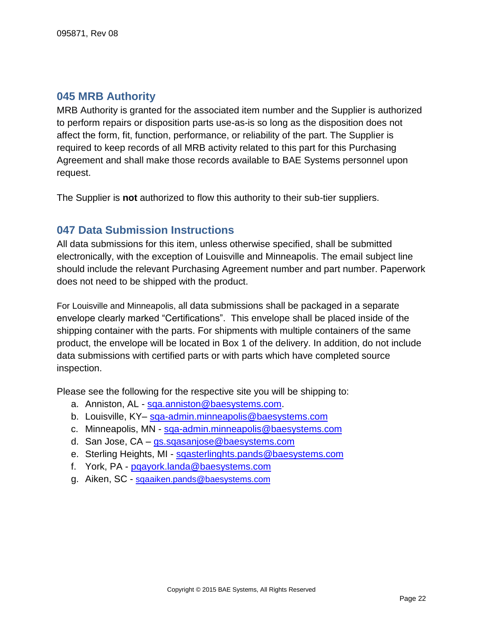### <span id="page-21-0"></span>**045 MRB Authority**

MRB Authority is granted for the associated item number and the Supplier is authorized to perform repairs or disposition parts use-as-is so long as the disposition does not affect the form, fit, function, performance, or reliability of the part. The Supplier is required to keep records of all MRB activity related to this part for this Purchasing Agreement and shall make those records available to BAE Systems personnel upon request.

<span id="page-21-1"></span>The Supplier is **not** authorized to flow this authority to their sub-tier suppliers.

### **047 Data Submission Instructions**

All data submissions for this item, unless otherwise specified, shall be submitted electronically, with the exception of Louisville and Minneapolis. The email subject line should include the relevant Purchasing Agreement number and part number. Paperwork does not need to be shipped with the product.

For Louisville and Minneapolis, all data submissions shall be packaged in a separate envelope clearly marked "Certifications". This envelope shall be placed inside of the shipping container with the parts. For shipments with multiple containers of the same product, the envelope will be located in Box 1 of the delivery. In addition, do not include data submissions with certified parts or with parts which have completed source inspection.

Please see the following for the respective site you will be shipping to:

- a. Anniston, AL sga.anniston@baesystems.com.
- b. Louisville, KY– [sqa-admin.minneapolis@baesystems.com](mailto:sqa-admin.minneapolis@baesystems.com)
- c. Minneapolis, MN [sqa-admin.minneapolis@baesystems.com](mailto:sqa-admin.minneapolis@baesystems.com)
- d. San Jose, CA [gs.sqasanjose@baesystems.com](mailto:gs.sqasanjose@baesystems.com)
- e. Sterling Heights, MI [sqasterlinghts.pands@baesystems.com](mailto:sqasterlinghts.pands@baesystems.com)
- f. York, PA [pqayork.landa@baesystems.com](mailto:pqayork.landa@baesystems.com)
- <span id="page-21-2"></span>g. Aiken, SC - [sqaaiken.pands@baesystems.com](mailto:sqaaiken.pands@baesystems.com)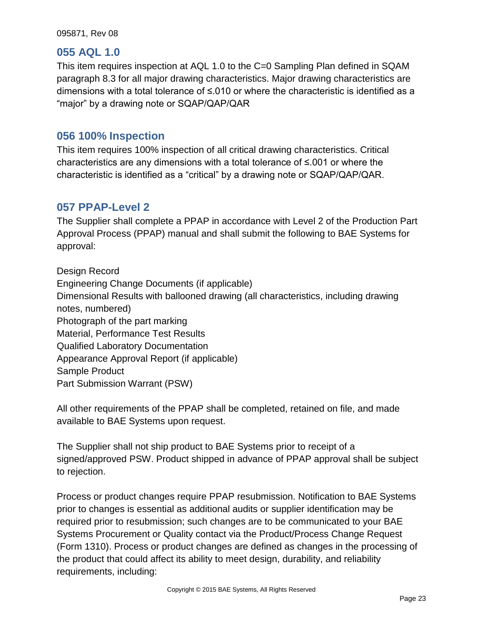#### **055 AQL 1.0**

This item requires inspection at AQL 1.0 to the C=0 Sampling Plan defined in SQAM paragraph 8.3 for all major drawing characteristics. Major drawing characteristics are dimensions with a total tolerance of ≤.010 or where the characteristic is identified as a "major" by a drawing note or SQAP/QAP/QAR

### <span id="page-22-0"></span>**056 100% Inspection**

This item requires 100% inspection of all critical drawing characteristics. Critical characteristics are any dimensions with a total tolerance of ≤.001 or where the characteristic is identified as a "critical" by a drawing note or SQAP/QAP/QAR.

### <span id="page-22-1"></span>**057 PPAP-Level 2**

The Supplier shall complete a PPAP in accordance with Level 2 of the Production Part Approval Process (PPAP) manual and shall submit the following to BAE Systems for approval:

Design Record Engineering Change Documents (if applicable) Dimensional Results with ballooned drawing (all characteristics, including drawing notes, numbered) Photograph of the part marking Material, Performance Test Results Qualified Laboratory Documentation Appearance Approval Report (if applicable) Sample Product Part Submission Warrant (PSW)

All other requirements of the PPAP shall be completed, retained on file, and made available to BAE Systems upon request.

The Supplier shall not ship product to BAE Systems prior to receipt of a signed/approved PSW. Product shipped in advance of PPAP approval shall be subject to rejection.

Process or product changes require PPAP resubmission. Notification to BAE Systems prior to changes is essential as additional audits or supplier identification may be required prior to resubmission; such changes are to be communicated to your BAE Systems Procurement or Quality contact via the Product/Process Change Request (Form 1310). Process or product changes are defined as changes in the processing of the product that could affect its ability to meet design, durability, and reliability requirements, including: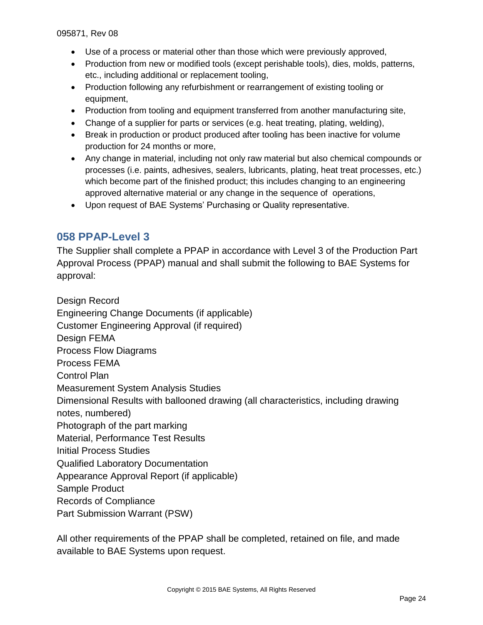- Use of a process or material other than those which were previously approved,
- Production from new or modified tools (except perishable tools), dies, molds, patterns, etc., including additional or replacement tooling,
- Production following any refurbishment or rearrangement of existing tooling or equipment,
- Production from tooling and equipment transferred from another manufacturing site,
- Change of a supplier for parts or services (e.g. heat treating, plating, welding),
- Break in production or product produced after tooling has been inactive for volume production for 24 months or more,
- Any change in material, including not only raw material but also chemical compounds or processes (i.e. paints, adhesives, sealers, lubricants, plating, heat treat processes, etc.) which become part of the finished product; this includes changing to an engineering approved alternative material or any change in the sequence of operations,
- Upon request of BAE Systems' Purchasing or Quality representative.

# <span id="page-23-0"></span>**058 PPAP-Level 3**

The Supplier shall complete a PPAP in accordance with Level 3 of the Production Part Approval Process (PPAP) manual and shall submit the following to BAE Systems for approval:

Design Record Engineering Change Documents (if applicable) Customer Engineering Approval (if required) Design FEMA Process Flow Diagrams Process FEMA Control Plan Measurement System Analysis Studies Dimensional Results with ballooned drawing (all characteristics, including drawing notes, numbered) Photograph of the part marking Material, Performance Test Results Initial Process Studies Qualified Laboratory Documentation Appearance Approval Report (if applicable) Sample Product Records of Compliance Part Submission Warrant (PSW)

All other requirements of the PPAP shall be completed, retained on file, and made available to BAE Systems upon request.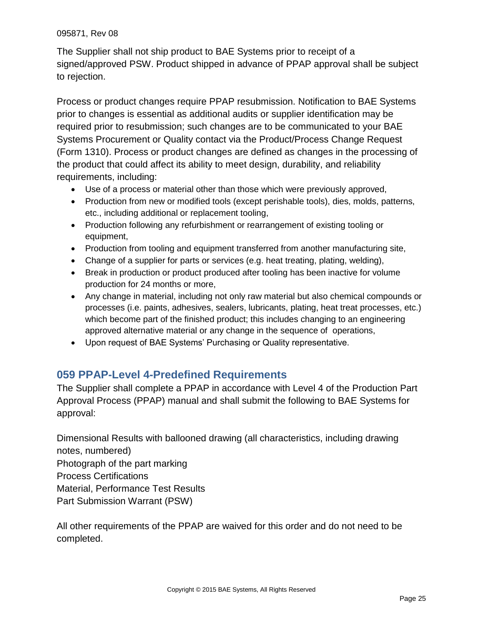The Supplier shall not ship product to BAE Systems prior to receipt of a signed/approved PSW. Product shipped in advance of PPAP approval shall be subject to rejection.

Process or product changes require PPAP resubmission. Notification to BAE Systems prior to changes is essential as additional audits or supplier identification may be required prior to resubmission; such changes are to be communicated to your BAE Systems Procurement or Quality contact via the Product/Process Change Request (Form 1310). Process or product changes are defined as changes in the processing of the product that could affect its ability to meet design, durability, and reliability requirements, including:

- Use of a process or material other than those which were previously approved,
- Production from new or modified tools (except perishable tools), dies, molds, patterns, etc., including additional or replacement tooling,
- Production following any refurbishment or rearrangement of existing tooling or equipment,
- Production from tooling and equipment transferred from another manufacturing site,
- Change of a supplier for parts or services (e.g. heat treating, plating, welding),
- Break in production or product produced after tooling has been inactive for volume production for 24 months or more,
- Any change in material, including not only raw material but also chemical compounds or processes (i.e. paints, adhesives, sealers, lubricants, plating, heat treat processes, etc.) which become part of the finished product; this includes changing to an engineering approved alternative material or any change in the sequence of operations,
- Upon request of BAE Systems' Purchasing or Quality representative.

# <span id="page-24-0"></span>**059 PPAP-Level 4-Predefined Requirements**

The Supplier shall complete a PPAP in accordance with Level 4 of the Production Part Approval Process (PPAP) manual and shall submit the following to BAE Systems for approval:

Dimensional Results with ballooned drawing (all characteristics, including drawing notes, numbered) Photograph of the part marking Process Certifications Material, Performance Test Results Part Submission Warrant (PSW)

All other requirements of the PPAP are waived for this order and do not need to be completed.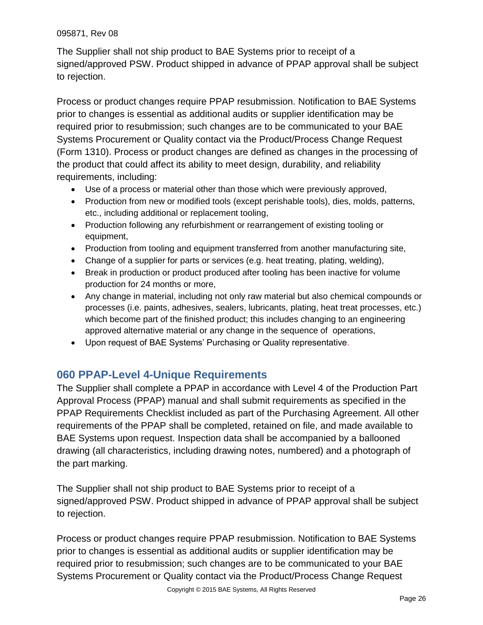The Supplier shall not ship product to BAE Systems prior to receipt of a signed/approved PSW. Product shipped in advance of PPAP approval shall be subject to rejection.

Process or product changes require PPAP resubmission. Notification to BAE Systems prior to changes is essential as additional audits or supplier identification may be required prior to resubmission; such changes are to be communicated to your BAE Systems Procurement or Quality contact via the Product/Process Change Request (Form 1310). Process or product changes are defined as changes in the processing of the product that could affect its ability to meet design, durability, and reliability requirements, including:

- Use of a process or material other than those which were previously approved,
- Production from new or modified tools (except perishable tools), dies, molds, patterns, etc., including additional or replacement tooling,
- Production following any refurbishment or rearrangement of existing tooling or equipment,
- Production from tooling and equipment transferred from another manufacturing site,
- Change of a supplier for parts or services (e.g. heat treating, plating, welding),
- Break in production or product produced after tooling has been inactive for volume production for 24 months or more,
- Any change in material, including not only raw material but also chemical compounds or processes (i.e. paints, adhesives, sealers, lubricants, plating, heat treat processes, etc.) which become part of the finished product; this includes changing to an engineering approved alternative material or any change in the sequence of operations,
- Upon request of BAE Systems' Purchasing or Quality representative.

# <span id="page-25-0"></span>**060 PPAP-Level 4-Unique Requirements**

The Supplier shall complete a PPAP in accordance with Level 4 of the Production Part Approval Process (PPAP) manual and shall submit requirements as specified in the PPAP Requirements Checklist included as part of the Purchasing Agreement. All other requirements of the PPAP shall be completed, retained on file, and made available to BAE Systems upon request. Inspection data shall be accompanied by a ballooned drawing (all characteristics, including drawing notes, numbered) and a photograph of the part marking.

The Supplier shall not ship product to BAE Systems prior to receipt of a signed/approved PSW. Product shipped in advance of PPAP approval shall be subject to rejection.

Process or product changes require PPAP resubmission. Notification to BAE Systems prior to changes is essential as additional audits or supplier identification may be required prior to resubmission; such changes are to be communicated to your BAE Systems Procurement or Quality contact via the Product/Process Change Request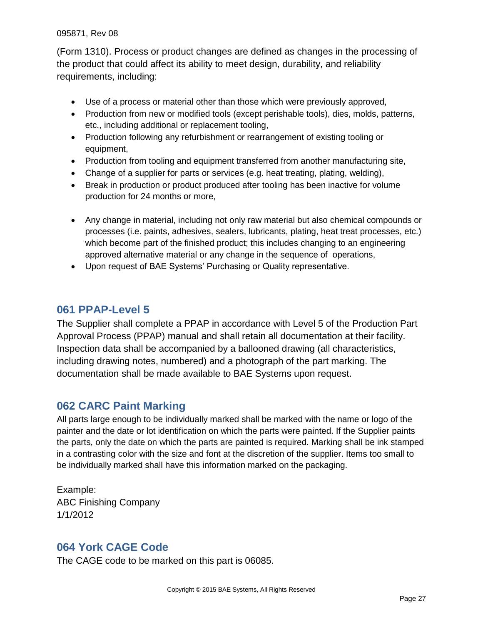(Form 1310). Process or product changes are defined as changes in the processing of the product that could affect its ability to meet design, durability, and reliability requirements, including:

- Use of a process or material other than those which were previously approved,
- Production from new or modified tools (except perishable tools), dies, molds, patterns, etc., including additional or replacement tooling,
- Production following any refurbishment or rearrangement of existing tooling or equipment,
- Production from tooling and equipment transferred from another manufacturing site,
- Change of a supplier for parts or services (e.g. heat treating, plating, welding),
- Break in production or product produced after tooling has been inactive for volume production for 24 months or more,
- Any change in material, including not only raw material but also chemical compounds or processes (i.e. paints, adhesives, sealers, lubricants, plating, heat treat processes, etc.) which become part of the finished product; this includes changing to an engineering approved alternative material or any change in the sequence of operations,
- Upon request of BAE Systems' Purchasing or Quality representative.

#### <span id="page-26-0"></span>**061 PPAP-Level 5**

The Supplier shall complete a PPAP in accordance with Level 5 of the Production Part Approval Process (PPAP) manual and shall retain all documentation at their facility. Inspection data shall be accompanied by a ballooned drawing (all characteristics, including drawing notes, numbered) and a photograph of the part marking. The documentation shall be made available to BAE Systems upon request.

### <span id="page-26-1"></span>**062 CARC Paint Marking**

All parts large enough to be individually marked shall be marked with the name or logo of the painter and the date or lot identification on which the parts were painted. If the Supplier paints the parts, only the date on which the parts are painted is required. Marking shall be ink stamped in a contrasting color with the size and font at the discretion of the supplier. Items too small to be individually marked shall have this information marked on the packaging.

Example: ABC Finishing Company 1/1/2012

### <span id="page-26-2"></span>**064 York CAGE Code**

The CAGE code to be marked on this part is 06085.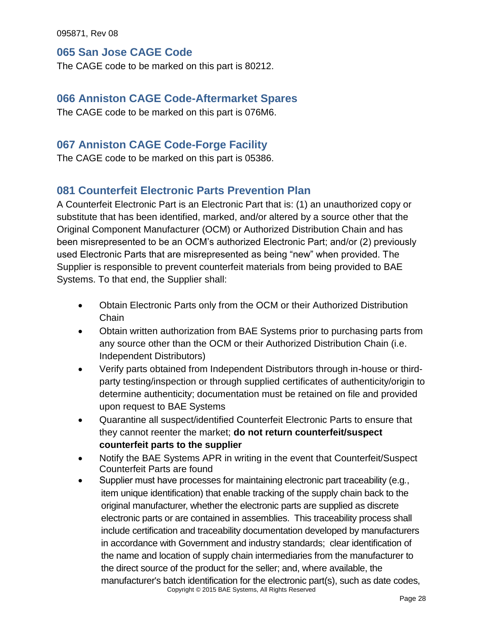#### <span id="page-27-0"></span>**065 San Jose CAGE Code**

<span id="page-27-1"></span>The CAGE code to be marked on this part is 80212.

### **066 Anniston CAGE Code-Aftermarket Spares**

<span id="page-27-2"></span>The CAGE code to be marked on this part is 076M6.

# **067 Anniston CAGE Code-Forge Facility**

<span id="page-27-3"></span>The CAGE code to be marked on this part is 05386.

# **081 Counterfeit Electronic Parts Prevention Plan**

A Counterfeit Electronic Part is an Electronic Part that is: (1) an unauthorized copy or substitute that has been identified, marked, and/or altered by a source other that the Original Component Manufacturer (OCM) or Authorized Distribution Chain and has been misrepresented to be an OCM's authorized Electronic Part; and/or (2) previously used Electronic Parts that are misrepresented as being "new" when provided. The Supplier is responsible to prevent counterfeit materials from being provided to BAE Systems. To that end, the Supplier shall:

- Obtain Electronic Parts only from the OCM or their Authorized Distribution **Chain**
- Obtain written authorization from BAE Systems prior to purchasing parts from any source other than the OCM or their Authorized Distribution Chain (i.e. Independent Distributors)
- Verify parts obtained from Independent Distributors through in-house or thirdparty testing/inspection or through supplied certificates of authenticity/origin to determine authenticity; documentation must be retained on file and provided upon request to BAE Systems
- Quarantine all suspect/identified Counterfeit Electronic Parts to ensure that they cannot reenter the market; **do not return counterfeit/suspect counterfeit parts to the supplier**
- Notify the BAE Systems APR in writing in the event that Counterfeit/Suspect Counterfeit Parts are found
- Copyright © 2015 BAE Systems, All Rights Reserved Supplier must have processes for maintaining electronic part traceability (e.g*.*, item unique identification) that enable tracking of the supply chain back to the original manufacturer, whether the electronic parts are supplied as discrete electronic parts or are contained in assemblies. This traceability process shall include certification and traceability documentation developed by manufacturers in accordance with Government and industry standards; clear identification of the name and location of supply chain intermediaries from the manufacturer to the direct source of the product for the seller; and, where available, the manufacturer's batch identification for the electronic part(s), such as date codes,